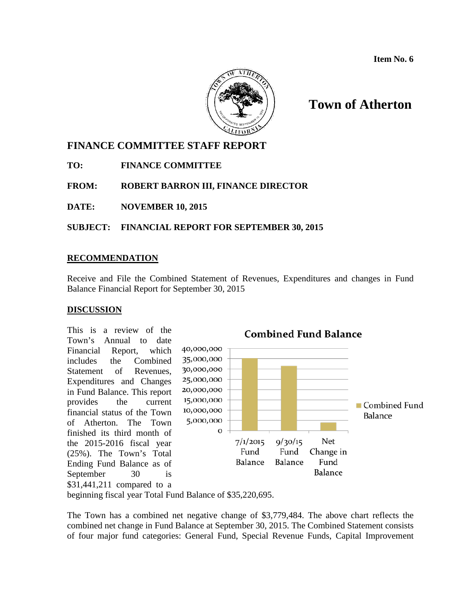

# **Town of Atherton**

# **FINANCE COMMITTEE STAFF REPORT**

**TO: FINANCE COMMITTEE**

**FROM: ROBERT BARRON III, FINANCE DIRECTOR**

**DATE: NOVEMBER 10, 2015**

**SUBJECT: FINANCIAL REPORT FOR SEPTEMBER 30, 2015**

### **RECOMMENDATION**

Receive and File the Combined Statement of Revenues, Expenditures and changes in Fund Balance Financial Report for September 30, 2015

### **DISCUSSION**

This is a review of the Town's Annual to date Financial Report, which includes the Combined Statement of Revenues, Expenditures and Changes in Fund Balance. This report provides the current financial status of the Town of Atherton. The Town finished its third month of the 2015-2016 fiscal year (25%). The Town's Total Ending Fund Balance as of September 30 is \$31,441,211 compared to a



beginning fiscal year Total Fund Balance of \$35,220,695.

The Town has a combined net negative change of \$3,779,484. The above chart reflects the combined net change in Fund Balance at September 30, 2015. The Combined Statement consists of four major fund categories: General Fund, Special Revenue Funds, Capital Improvement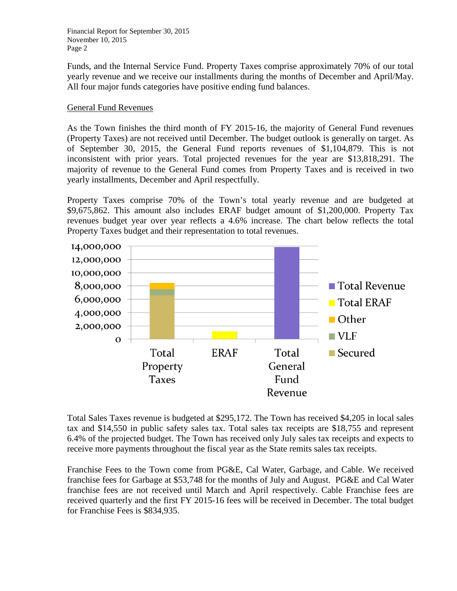Funds, and the Internal Service Fund. Property Taxes comprise approximately 70% of our total yearly revenue and we receive our installments during the months of December and April/May. All four major funds categories have positive ending fund balances.

### General Fund Revenues

As the Town finishes the third month of FY 2015-16, the majority of General Fund revenues (Property Taxes) are not received until December. The budget outlook is generally on target. As of September 30, 2015, the General Fund reports revenues of \$1,104,879. This is not inconsistent with prior years. Total projected revenues for the year are \$13,818,291. The majority of revenue to the General Fund comes from Property Taxes and is received in two yearly installments, December and April respectfully.

Property Taxes comprise 70% of the Town's total yearly revenue and are budgeted at \$9,675,862. This amount also includes ERAF budget amount of \$1,200,000. Property Tax revenues budget year over year reflects a 4.6% increase. The chart below reflects the total Property Taxes budget and their representation to total revenues.



Total Sales Taxes revenue is budgeted at \$295,172. The Town has received \$4,205 in local sales tax and \$14,550 in public safety sales tax. Total sales tax receipts are \$18,755 and represent 6.4% of the projected budget. The Town has received only July sales tax receipts and expects to receive more payments throughout the fiscal year as the State remits sales tax receipts.

Franchise Fees to the Town come from PG&E, Cal Water, Garbage, and Cable. We received franchise fees for Garbage at \$53,748 for the months of July and August. PG&E and Cal Water franchise fees are not received until March and April respectively. Cable Franchise fees are received quarterly and the first FY 2015-16 fees will be received in December. The total budget for Franchise Fees is \$834,935.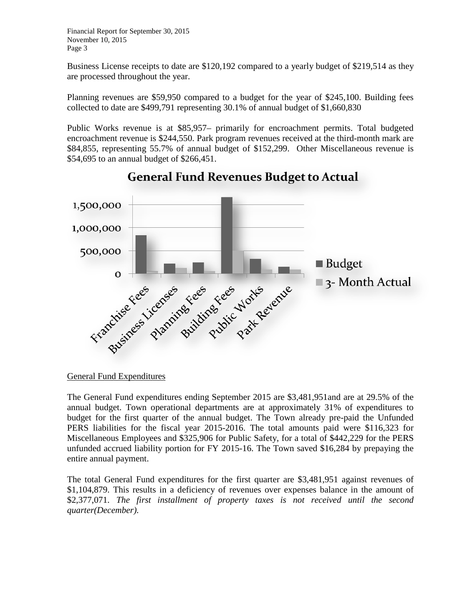Business License receipts to date are \$120,192 compared to a yearly budget of \$219,514 as they are processed throughout the year.

Planning revenues are \$59,950 compared to a budget for the year of \$245,100. Building fees collected to date are \$499,791 representing 30.1% of annual budget of \$1,660,830

Public Works revenue is at \$85,957– primarily for encroachment permits. Total budgeted encroachment revenue is \$244,550. Park program revenues received at the third-month mark are \$84,855, representing 55.7% of annual budget of \$152,299. Other Miscellaneous revenue is \$54,695 to an annual budget of \$266,451.



**General Fund Revenues Budget to Actual** 

The General Fund expenditures ending September 2015 are \$3,481,951and are at 29.5% of the annual budget. Town operational departments are at approximately 31% of expenditures to budget for the first quarter of the annual budget. The Town already pre-paid the Unfunded PERS liabilities for the fiscal year 2015-2016. The total amounts paid were \$116,323 for Miscellaneous Employees and \$325,906 for Public Safety, for a total of \$442,229 for the PERS unfunded accrued liability portion for FY 2015-16. The Town saved \$16,284 by prepaying the entire annual payment.

The total General Fund expenditures for the first quarter are \$3,481,951 against revenues of \$1,104,879. This results in a deficiency of revenues over expenses balance in the amount of \$2,377,071. *The first installment of property taxes is not received until the second quarter(December).*

General Fund Expenditures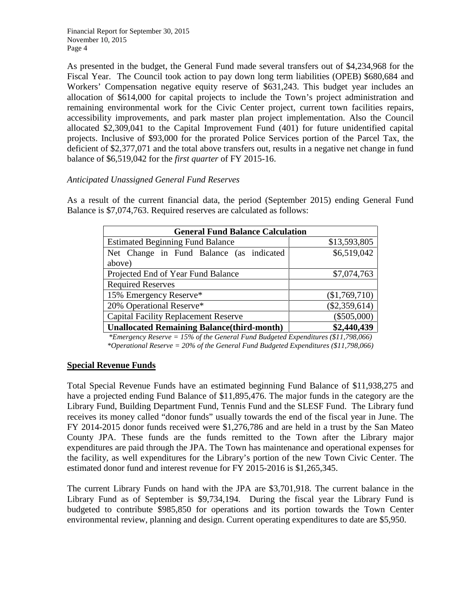As presented in the budget, the General Fund made several transfers out of \$4,234,968 for the Fiscal Year. The Council took action to pay down long term liabilities (OPEB) \$680,684 and Workers' Compensation negative equity reserve of \$631,243. This budget year includes an allocation of \$614,000 for capital projects to include the Town's project administration and remaining environmental work for the Civic Center project, current town facilities repairs, accessibility improvements, and park master plan project implementation. Also the Council allocated \$2,309,041 to the Capital Improvement Fund (401) for future unidentified capital projects. Inclusive of \$93,000 for the prorated Police Services portion of the Parcel Tax, the deficient of \$2,377,071 and the total above transfers out, results in a negative net change in fund balance of \$6,519,042 for the *first quarter* of FY 2015-16.

#### *Anticipated Unassigned General Fund Reserves*

As a result of the current financial data, the period (September 2015) ending General Fund Balance is \$7,074,763. Required reserves are calculated as follows:

| <b>General Fund Balance Calculation</b>            |                 |  |  |  |  |  |  |  |
|----------------------------------------------------|-----------------|--|--|--|--|--|--|--|
| <b>Estimated Beginning Fund Balance</b>            | \$13,593,805    |  |  |  |  |  |  |  |
| Net Change in Fund Balance (as indicated           | \$6,519,042     |  |  |  |  |  |  |  |
| above)                                             |                 |  |  |  |  |  |  |  |
| Projected End of Year Fund Balance                 | \$7,074,763     |  |  |  |  |  |  |  |
| <b>Required Reserves</b>                           |                 |  |  |  |  |  |  |  |
| 15% Emergency Reserve*                             | (\$1,769,710)   |  |  |  |  |  |  |  |
| 20% Operational Reserve*                           | $(\$2,359,614)$ |  |  |  |  |  |  |  |
| <b>Capital Facility Replacement Reserve</b>        | $(\$505,000)$   |  |  |  |  |  |  |  |
| <b>Unallocated Remaining Balance (third-month)</b> | \$2,440,439     |  |  |  |  |  |  |  |

*\*Emergency Reserve = 15% of the General Fund Budgeted Expenditures (\$11,798,066) \*Operational Reserve = 20% of the General Fund Budgeted Expenditures (\$11,798,066)*

### **Special Revenue Funds**

Total Special Revenue Funds have an estimated beginning Fund Balance of \$11,938,275 and have a projected ending Fund Balance of \$11,895,476. The major funds in the category are the Library Fund, Building Department Fund, Tennis Fund and the SLESF Fund. The Library fund receives its money called "donor funds" usually towards the end of the fiscal year in June. The FY 2014-2015 donor funds received were \$1,276,786 and are held in a trust by the San Mateo County JPA. These funds are the funds remitted to the Town after the Library major expenditures are paid through the JPA. The Town has maintenance and operational expenses for the facility, as well expenditures for the Library's portion of the new Town Civic Center. The estimated donor fund and interest revenue for FY 2015-2016 is \$1,265,345.

The current Library Funds on hand with the JPA are \$3,701,918. The current balance in the Library Fund as of September is \$9,734,194. During the fiscal year the Library Fund is budgeted to contribute \$985,850 for operations and its portion towards the Town Center environmental review, planning and design. Current operating expenditures to date are \$5,950.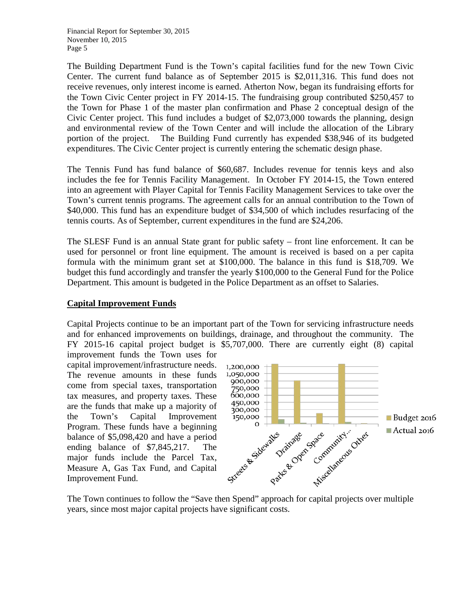The Building Department Fund is the Town's capital facilities fund for the new Town Civic Center. The current fund balance as of September 2015 is \$2,011,316. This fund does not receive revenues, only interest income is earned. Atherton Now, began its fundraising efforts for the Town Civic Center project in FY 2014-15. The fundraising group contributed \$250,457 to the Town for Phase 1 of the master plan confirmation and Phase 2 conceptual design of the Civic Center project. This fund includes a budget of \$2,073,000 towards the planning, design and environmental review of the Town Center and will include the allocation of the Library portion of the project. The Building Fund currently has expended \$38,946 of its budgeted expenditures. The Civic Center project is currently entering the schematic design phase.

The Tennis Fund has fund balance of \$60,687. Includes revenue for tennis keys and also includes the fee for Tennis Facility Management. In October FY 2014-15, the Town entered into an agreement with Player Capital for Tennis Facility Management Services to take over the Town's current tennis programs. The agreement calls for an annual contribution to the Town of \$40,000. This fund has an expenditure budget of \$34,500 of which includes resurfacing of the tennis courts. As of September, current expenditures in the fund are \$24,206.

The SLESF Fund is an annual State grant for public safety – front line enforcement. It can be used for personnel or front line equipment. The amount is received is based on a per capita formula with the minimum grant set at \$100,000. The balance in this fund is \$18,709. We budget this fund accordingly and transfer the yearly \$100,000 to the General Fund for the Police Department. This amount is budgeted in the Police Department as an offset to Salaries.

#### **Capital Improvement Funds**

Capital Projects continue to be an important part of the Town for servicing infrastructure needs and for enhanced improvements on buildings, drainage, and throughout the community. The FY 2015-16 capital project budget is \$5,707,000. There are currently eight (8) capital

improvement funds the Town uses for capital improvement/infrastructure needs. The revenue amounts in these funds come from special taxes, transportation tax measures, and property taxes. These are the funds that make up a majority of the Town's Capital Improvement Program. These funds have a beginning balance of \$5,098,420 and have a period ending balance of \$7,845,217. The major funds include the Parcel Tax, Measure A, Gas Tax Fund, and Capital Improvement Fund.



The Town continues to follow the "Save then Spend" approach for capital projects over multiple years, since most major capital projects have significant costs.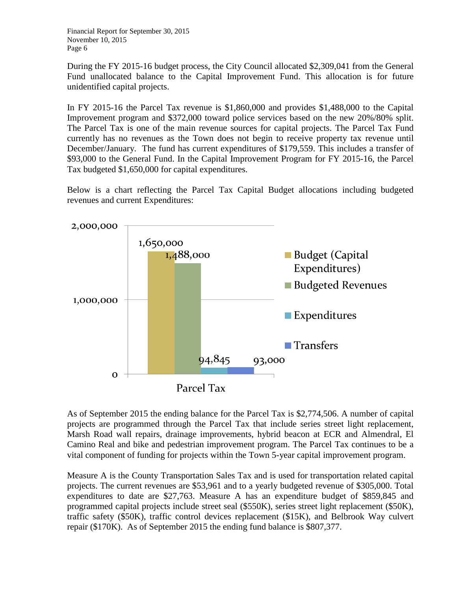During the FY 2015-16 budget process, the City Council allocated \$2,309,041 from the General Fund unallocated balance to the Capital Improvement Fund. This allocation is for future unidentified capital projects.

In FY 2015-16 the Parcel Tax revenue is \$1,860,000 and provides \$1,488,000 to the Capital Improvement program and \$372,000 toward police services based on the new 20%/80% split. The Parcel Tax is one of the main revenue sources for capital projects. The Parcel Tax Fund currently has no revenues as the Town does not begin to receive property tax revenue until December/January. The fund has current expenditures of \$179,559. This includes a transfer of \$93,000 to the General Fund. In the Capital Improvement Program for FY 2015-16, the Parcel Tax budgeted \$1,650,000 for capital expenditures.

Below is a chart reflecting the Parcel Tax Capital Budget allocations including budgeted revenues and current Expenditures:



As of September 2015 the ending balance for the Parcel Tax is \$2,774,506. A number of capital projects are programmed through the Parcel Tax that include series street light replacement, Marsh Road wall repairs, drainage improvements, hybrid beacon at ECR and Almendral, El Camino Real and bike and pedestrian improvement program. The Parcel Tax continues to be a vital component of funding for projects within the Town 5-year capital improvement program.

Measure A is the County Transportation Sales Tax and is used for transportation related capital projects. The current revenues are \$53,961 and to a yearly budgeted revenue of \$305,000. Total expenditures to date are \$27,763. Measure A has an expenditure budget of \$859,845 and programmed capital projects include street seal (\$550K), series street light replacement (\$50K), traffic safety (\$50K), traffic control devices replacement (\$15K), and Belbrook Way culvert repair (\$170K). As of September 2015 the ending fund balance is \$807,377.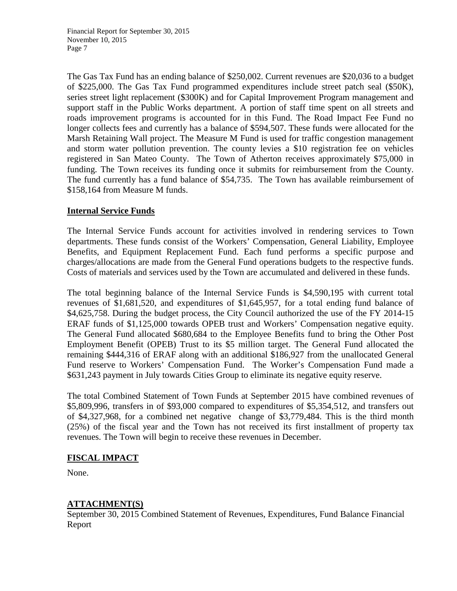The Gas Tax Fund has an ending balance of \$250,002. Current revenues are \$20,036 to a budget of \$225,000. The Gas Tax Fund programmed expenditures include street patch seal (\$50K), series street light replacement (\$300K) and for Capital Improvement Program management and support staff in the Public Works department. A portion of staff time spent on all streets and roads improvement programs is accounted for in this Fund. The Road Impact Fee Fund no longer collects fees and currently has a balance of \$594,507. These funds were allocated for the Marsh Retaining Wall project. The Measure M Fund is used for traffic congestion management and storm water pollution prevention. The county levies a \$10 registration fee on vehicles registered in San Mateo County. The Town of Atherton receives approximately \$75,000 in funding. The Town receives its funding once it submits for reimbursement from the County. The fund currently has a fund balance of \$54,735. The Town has available reimbursement of \$158,164 from Measure M funds.

### **Internal Service Funds**

The Internal Service Funds account for activities involved in rendering services to Town departments. These funds consist of the Workers' Compensation, General Liability, Employee Benefits, and Equipment Replacement Fund. Each fund performs a specific purpose and charges/allocations are made from the General Fund operations budgets to the respective funds. Costs of materials and services used by the Town are accumulated and delivered in these funds.

The total beginning balance of the Internal Service Funds is \$4,590,195 with current total revenues of \$1,681,520, and expenditures of \$1,645,957, for a total ending fund balance of \$4,625,758. During the budget process, the City Council authorized the use of the FY 2014-15 ERAF funds of \$1,125,000 towards OPEB trust and Workers' Compensation negative equity. The General Fund allocated \$680,684 to the Employee Benefits fund to bring the Other Post Employment Benefit (OPEB) Trust to its \$5 million target. The General Fund allocated the remaining \$444,316 of ERAF along with an additional \$186,927 from the unallocated General Fund reserve to Workers' Compensation Fund. The Worker's Compensation Fund made a \$631,243 payment in July towards Cities Group to eliminate its negative equity reserve.

The total Combined Statement of Town Funds at September 2015 have combined revenues of \$5,809,996, transfers in of \$93,000 compared to expenditures of \$5,354,512, and transfers out of \$4,327,968, for a combined net negative change of \$3,779,484. This is the third month (25%) of the fiscal year and the Town has not received its first installment of property tax revenues. The Town will begin to receive these revenues in December.

### **FISCAL IMPACT**

None.

## **ATTACHMENT(S)**

September 30, 2015 Combined Statement of Revenues, Expenditures, Fund Balance Financial Report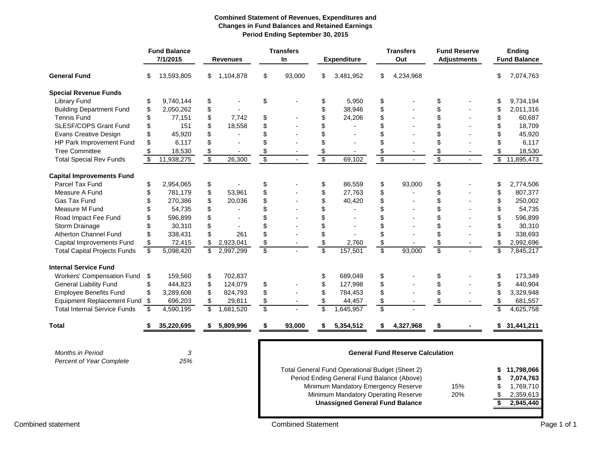#### **Combined Statement of Revenues, Expenditures and Changes in Fund Balances and Retained Earnings Period Ending September 30, 2015**

|                                     |    | <b>Fund Balance</b><br>7/1/2015 |                         | <b>Revenues</b> |                                         | <b>Transfers</b><br><b>In</b> |                                           | <b>Expenditure</b>                              |                         | <b>Transfers</b><br>Out |                 | <b>Fund Reserve</b><br><b>Adjustments</b> |                 | <b>Ending</b><br><b>Fund Balance</b> |
|-------------------------------------|----|---------------------------------|-------------------------|-----------------|-----------------------------------------|-------------------------------|-------------------------------------------|-------------------------------------------------|-------------------------|-------------------------|-----------------|-------------------------------------------|-----------------|--------------------------------------|
| <b>General Fund</b>                 | \$ | 13,593,805                      | \$                      | 1,104,878       | \$                                      | 93,000                        | \$                                        | 3,481,952                                       | \$                      | 4,234,968               |                 |                                           | \$              | 7,074,763                            |
| <b>Special Revenue Funds</b>        |    |                                 |                         |                 |                                         |                               |                                           |                                                 |                         |                         |                 |                                           |                 |                                      |
| <b>Library Fund</b>                 | \$ | 9,740,144                       | \$                      |                 | \$                                      |                               | \$                                        | 5,950                                           | \$                      |                         | \$              |                                           | \$              | 9,734,194                            |
| <b>Building Department Fund</b>     | \$ | 2,050,262                       | \$                      |                 |                                         |                               | \$                                        | 38,946                                          | \$                      |                         | \$              |                                           | \$              | 2,011,316                            |
| <b>Tennis Fund</b>                  | \$ | 77,151                          | \$                      | 7,742           | \$                                      |                               | \$                                        | 24,206                                          | \$                      |                         | \$              |                                           | \$              | 60,687                               |
| <b>SLESF/COPS Grant Fund</b>        | \$ | 151                             | \$                      | 18,558          | \$                                      |                               | \$                                        |                                                 | \$                      |                         | \$              |                                           | \$              | 18,709                               |
| <b>Evans Creative Design</b>        | \$ | 45,920                          | \$                      |                 | \$                                      |                               | \$                                        |                                                 | \$                      |                         | \$              |                                           | \$              | 45,920                               |
| HP Park Improvement Fund            | \$ | 6,117                           | \$                      |                 | \$                                      |                               | \$                                        |                                                 | \$                      |                         | \$              |                                           | \$              | 6,117                                |
| <b>Tree Committee</b>               | \$ | 18,530                          | \$                      |                 | \$                                      |                               | $\frac{1}{2}$                             |                                                 | \$                      |                         | \$              |                                           | \$              | 18,530                               |
| <b>Total Special Rev Funds</b>      | \$ | 11,938,275                      | $\overline{\$}$         | 26,300          | $\overline{\$}$                         | $\blacksquare$                | $\overline{\$}$                           | 69,102                                          | $\overline{\$}$         |                         | $\overline{\$}$ | $\blacksquare$                            | $\overline{\$}$ | 11,895,473                           |
| <b>Capital Improvements Fund</b>    |    |                                 |                         |                 |                                         |                               |                                           |                                                 |                         |                         |                 |                                           |                 |                                      |
| <b>Parcel Tax Fund</b>              | \$ | 2,954,065                       | \$                      |                 | \$                                      |                               | \$                                        | 86,559                                          | \$                      | 93,000                  | \$              |                                           | \$              | 2,774,506                            |
| Measure A Fund                      | \$ | 781,179                         | \$                      | 53,961          | \$                                      |                               | \$                                        | 27,763                                          | \$                      |                         | \$              |                                           | \$              | 807,377                              |
| Gas Tax Fund                        | \$ | 270,386                         | \$                      | 20,036          | \$                                      |                               | \$                                        | 40,420                                          | \$                      |                         | \$              |                                           | \$              | 250,002                              |
| Measure M Fund                      | \$ | 54,735                          | \$                      |                 | \$                                      |                               | \$                                        |                                                 | \$                      |                         | \$              |                                           | \$              | 54,735                               |
| Road Impact Fee Fund                | \$ | 596,899                         | \$                      |                 | \$                                      |                               | \$                                        |                                                 | \$                      |                         | \$              |                                           | \$              | 596,899                              |
| Storm Drainage                      | \$ | 30,310                          | \$                      |                 | \$                                      |                               | \$                                        | $\blacksquare$                                  | \$                      |                         | \$              |                                           | \$              | 30,310                               |
| Atherton Channel Fund               | \$ | 338,431                         | \$                      | 261             | \$                                      |                               | \$                                        |                                                 | \$                      |                         | \$              |                                           | \$              | 338,693                              |
| Capital Improvements Fund           | \$ | 72,415                          | \$                      | 2,923,041       | \$                                      |                               | $\, \, \raisebox{12pt}{$\scriptstyle \$}$ | 2,760                                           | \$                      |                         | \$              |                                           | \$              | 2,992,696                            |
| <b>Total Capital Projects Funds</b> | \$ | 5,098,420                       | \$                      | 2,997,299       | $\overline{\mathbb{S}}$                 |                               | $\overline{\mathbb{S}}$                   | 157,501                                         | $\overline{\mathbb{S}}$ | 93,000                  | \$              |                                           | $\overline{\$}$ | 7,845,217                            |
| <b>Internal Service Fund</b>        |    |                                 |                         |                 |                                         |                               |                                           |                                                 |                         |                         |                 |                                           |                 |                                      |
| Workers' Compensation Fund          | \$ | 159,560                         | \$                      | 702,837         |                                         |                               | \$                                        | 689.049                                         | \$                      |                         | \$              |                                           | \$              | 173,349                              |
| <b>General Liability Fund</b>       | \$ | 444,823                         | \$                      | 124,079         | \$                                      |                               | \$                                        | 127,998                                         | \$                      |                         | \$              |                                           | \$              | 440,904                              |
| <b>Employee Benefits Fund</b>       | \$ | 3,289,608                       | \$                      | 824,793         | \$                                      |                               | \$                                        | 784,453                                         | \$                      |                         | \$              |                                           | \$              | 3,329,948                            |
| <b>Equipment Replacement Fund</b>   | \$ | 696,203                         | \$                      | 29,811          | \$                                      |                               | \$                                        | 44,457                                          | \$                      |                         | \$              |                                           | \$              | 681,557                              |
| <b>Total Internal Service Funds</b> | \$ | 4,590,195                       | $\overline{\mathbf{S}}$ | 1,681,520       | $\overline{\mathbb{S}}$                 |                               | \$                                        | 1,645,957                                       | \$                      |                         |                 |                                           | \$              | 4,625,758                            |
| <b>Total</b>                        | S  | 35,220,695                      | \$                      | 5,809,996       | \$                                      | 93,000                        | \$                                        | 5,354,512                                       | \$                      | 4,327,968               | \$              |                                           | \$              | 31,441,211                           |
|                                     |    |                                 |                         |                 |                                         |                               |                                           |                                                 |                         |                         |                 |                                           |                 |                                      |
| <b>Months in Period</b>             |    | 3                               |                         |                 | <b>General Fund Reserve Calculation</b> |                               |                                           |                                                 |                         |                         |                 |                                           |                 |                                      |
| Percent of Year Complete            |    | 25%                             |                         |                 |                                         |                               |                                           |                                                 |                         |                         |                 |                                           |                 |                                      |
|                                     |    |                                 |                         |                 |                                         |                               |                                           | Total General Fund Operational Budget (Sheet 2) |                         |                         |                 |                                           |                 | 11,798,066                           |
|                                     |    |                                 |                         |                 |                                         |                               |                                           | Period Ending General Fund Balance (Above)      |                         |                         |                 |                                           |                 | 7,074,763                            |
|                                     |    |                                 |                         |                 |                                         |                               |                                           | Minimum Mandatory Emergency Reserve             |                         |                         |                 | 15%                                       | \$              | 1,769,710                            |
|                                     |    |                                 |                         |                 |                                         |                               |                                           | Minimum Mandatory Operating Reserve             |                         |                         |                 | 20%                                       | \$              | 2,359,613                            |
|                                     |    |                                 |                         |                 |                                         |                               |                                           | <b>Unassigned General Fund Balance</b>          |                         |                         |                 |                                           | \$              | 2,945,440                            |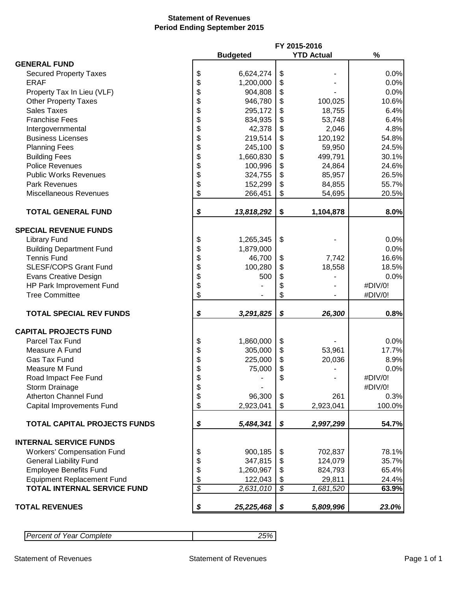#### **Statement of Revenues Period Ending September 2015**

|                                     | FY 2015-2016             |                 |                          |                   |         |  |
|-------------------------------------|--------------------------|-----------------|--------------------------|-------------------|---------|--|
|                                     |                          | <b>Budgeted</b> |                          | <b>YTD Actual</b> | %       |  |
| <b>GENERAL FUND</b>                 |                          |                 |                          |                   |         |  |
| <b>Secured Property Taxes</b>       | \$                       | 6,624,274       | \$                       |                   | 0.0%    |  |
| <b>ERAF</b>                         | \$                       | 1,200,000       | \$                       |                   | 0.0%    |  |
| Property Tax In Lieu (VLF)          | \$                       | 904,808         | \$                       |                   | 0.0%    |  |
| <b>Other Property Taxes</b>         | \$                       | 946,780         | \$                       | 100,025           | 10.6%   |  |
| <b>Sales Taxes</b>                  | \$                       | 295,172         |                          | 18,755            | 6.4%    |  |
|                                     |                          |                 | \$                       |                   |         |  |
| <b>Franchise Fees</b>               | \$                       | 834,935         | \$                       | 53,748            | 6.4%    |  |
| Intergovernmental                   | \$                       | 42,378          | \$                       | 2,046             | 4.8%    |  |
| <b>Business Licenses</b>            | \$                       | 219,514         | \$                       | 120,192           | 54.8%   |  |
| <b>Planning Fees</b>                | \$                       | 245,100         | \$                       | 59,950            | 24.5%   |  |
| <b>Building Fees</b>                | \$                       | 1,660,830       | \$                       | 499,791           | 30.1%   |  |
| <b>Police Revenues</b>              | \$                       | 100,996         | \$                       | 24,864            | 24.6%   |  |
| <b>Public Works Revenues</b>        | \$                       | 324,755         | \$                       | 85,957            | 26.5%   |  |
| <b>Park Revenues</b>                | \$                       | 152,299         | \$                       | 84,855            | 55.7%   |  |
| <b>Miscellaneous Revenues</b>       | \$                       | 266,451         | \$                       | 54,695            | 20.5%   |  |
|                                     |                          |                 |                          |                   |         |  |
| <b>TOTAL GENERAL FUND</b>           | \$                       | 13,818,292      | \$                       | 1,104,878         | 8.0%    |  |
|                                     |                          |                 |                          |                   |         |  |
| <b>SPECIAL REVENUE FUNDS</b>        |                          |                 |                          |                   |         |  |
| <b>Library Fund</b>                 | \$                       | 1,265,345       | \$                       |                   | 0.0%    |  |
| <b>Building Department Fund</b>     | \$                       | 1,879,000       |                          |                   | 0.0%    |  |
| <b>Tennis Fund</b>                  | \$                       | 46,700          | \$                       | 7,742             | 16.6%   |  |
| SLESF/COPS Grant Fund               | \$                       | 100,280         | \$                       | 18,558            | 18.5%   |  |
| <b>Evans Creative Design</b>        | \$                       | 500             | \$                       |                   | 0.0%    |  |
| HP Park Improvement Fund            | \$                       |                 | \$                       |                   | #DIV/0! |  |
| <b>Tree Committee</b>               | \$                       |                 | \$                       |                   | #DIV/0! |  |
|                                     |                          |                 |                          |                   |         |  |
| <b>TOTAL SPECIAL REV FUNDS</b>      | \$                       | 3,291,825       | \$                       | 26,300            | 0.8%    |  |
| <b>CAPITAL PROJECTS FUND</b>        |                          |                 |                          |                   |         |  |
| Parcel Tax Fund                     | \$                       | 1,860,000       | \$                       |                   | 0.0%    |  |
| Measure A Fund                      | \$                       | 305,000         | \$                       | 53,961            | 17.7%   |  |
| Gas Tax Fund                        | \$                       | 225,000         | \$                       | 20,036            | 8.9%    |  |
| Measure M Fund                      | \$                       | 75,000          | \$                       |                   | 0.0%    |  |
| Road Impact Fee Fund                | ¢                        |                 | \$                       |                   | #DIV/0! |  |
|                                     |                          |                 |                          |                   | #DIV/0! |  |
| Storm Drainage                      | \$                       |                 |                          |                   |         |  |
| <b>Atherton Channel Fund</b>        | \$                       | 96,300          | \$                       | 261               | 0.3%    |  |
| Capital Improvements Fund           | \$                       | 2,923,041       | \$                       | 2,923,041         | 100.0%  |  |
| <b>TOTAL CAPITAL PROJECTS FUNDS</b> | \$                       | 5,484,341       | \$                       | 2,997,299         | 54.7%   |  |
|                                     |                          |                 |                          |                   |         |  |
| <b>INTERNAL SERVICE FUNDS</b>       |                          |                 |                          |                   |         |  |
| <b>Workers' Compensation Fund</b>   | \$                       | 900,185         | \$                       | 702,837           | 78.1%   |  |
| <b>General Liability Fund</b>       | \$                       | 347,815         | \$                       | 124,079           | 35.7%   |  |
| <b>Employee Benefits Fund</b>       | \$                       | 1,260,967       | \$                       | 824,793           | 65.4%   |  |
| <b>Equipment Replacement Fund</b>   | \$                       | 122,043         | \$                       | 29,811            | 24.4%   |  |
| <b>TOTAL INTERNAL SERVICE FUND</b>  | $\overline{\mathcal{S}}$ | 2,631,010       | $\overline{\mathcal{S}}$ | 1,681,520         | 63.9%   |  |
|                                     |                          |                 |                          |                   |         |  |
| <b>TOTAL REVENUES</b>               | \$                       | 25,225,468      | \$                       | 5,809,996         | 23.0%   |  |

| <b>Percent of Year Complete</b> |  |
|---------------------------------|--|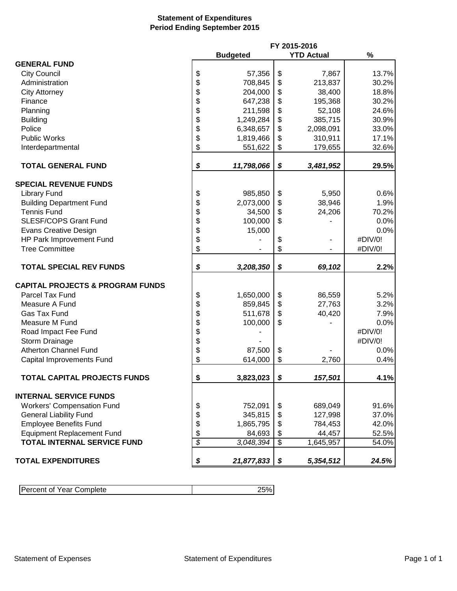#### **Statement of Expenditures Period Ending September 2015**

|                                                                         |                          | FY 2015-2016    |                 |           |         |
|-------------------------------------------------------------------------|--------------------------|-----------------|-----------------|-----------|---------|
|                                                                         |                          | <b>Budgeted</b> | $\%$            |           |         |
| <b>GENERAL FUND</b>                                                     |                          |                 |                 |           |         |
| <b>City Council</b>                                                     | \$                       | 57,356          | \$              | 7,867     | 13.7%   |
| Administration                                                          | \$                       | 708,845         | \$              | 213,837   | 30.2%   |
| <b>City Attorney</b>                                                    | \$                       | 204,000         | \$              | 38,400    | 18.8%   |
| Finance                                                                 | \$                       | 647,238         | \$              | 195,368   | 30.2%   |
| Planning                                                                | \$                       | 211,598         | \$              | 52,108    | 24.6%   |
| <b>Building</b>                                                         | \$                       | 1,249,284       | \$              | 385,715   | 30.9%   |
| Police                                                                  | \$                       | 6,348,657       | \$              | 2,098,091 | 33.0%   |
| <b>Public Works</b>                                                     | \$                       | 1,819,466       | \$              | 310,911   | 17.1%   |
| Interdepartmental                                                       | \$                       | 551,622         | \$              | 179,655   | 32.6%   |
|                                                                         |                          |                 |                 |           |         |
| <b>TOTAL GENERAL FUND</b>                                               | \$                       | 11,798,066      | \$              | 3,481,952 | 29.5%   |
| <b>SPECIAL REVENUE FUNDS</b>                                            |                          |                 |                 |           |         |
| <b>Library Fund</b>                                                     | \$                       | 985,850         | \$              | 5,950     | 0.6%    |
| <b>Building Department Fund</b>                                         | \$                       | 2,073,000       | \$              | 38,946    | 1.9%    |
| <b>Tennis Fund</b>                                                      | \$                       | 34,500          | \$              | 24,206    | 70.2%   |
| <b>SLESF/COPS Grant Fund</b>                                            | \$                       | 100,000         | \$              |           | 0.0%    |
| <b>Evans Creative Design</b>                                            | \$                       | 15,000          |                 |           | 0.0%    |
| HP Park Improvement Fund                                                | \$                       |                 | \$              |           | #DIV/0! |
| <b>Tree Committee</b>                                                   | \$                       |                 | \$              |           | #DIV/0! |
|                                                                         |                          |                 |                 |           |         |
| <b>TOTAL SPECIAL REV FUNDS</b>                                          | \$                       | 3,208,350       | \$              | 69,102    | 2.2%    |
| <b>CAPITAL PROJECTS &amp; PROGRAM FUNDS</b>                             |                          |                 |                 |           |         |
| Parcel Tax Fund                                                         | \$                       | 1,650,000       | \$              | 86,559    | 5.2%    |
| Measure A Fund                                                          | \$                       | 859,845         | \$              | 27,763    | 3.2%    |
| Gas Tax Fund                                                            | \$                       | 511,678         | \$              | 40,420    | 7.9%    |
| Measure M Fund                                                          | \$                       | 100,000         | \$              |           | 0.0%    |
| Road Impact Fee Fund                                                    |                          |                 |                 |           | #DIV/0! |
| Storm Drainage                                                          |                          |                 |                 |           | #DIV/0! |
| <b>Atherton Channel Fund</b>                                            | \$\$                     | 87,500          | \$              |           | 0.0%    |
| Capital Improvements Fund                                               | \$                       | 614,000         | \$              | 2,760     | 0.4%    |
|                                                                         |                          |                 |                 |           |         |
| TOTAL CAPITAL PROJECTS FUNDS                                            | \$                       | 3,823,023       | \$              | 157,501   | 4.1%    |
| <b>INTERNAL SERVICE FUNDS</b>                                           |                          |                 |                 |           |         |
| <b>Workers' Compensation Fund</b>                                       |                          | 752,091         |                 | 689,049   | 91.6%   |
| <b>General Liability Fund</b>                                           | \$                       | 345,815         | \$              | 127,998   | 37.0%   |
| <b>Employee Benefits Fund</b>                                           | \$                       |                 | \$              | 784,453   | 42.0%   |
|                                                                         | \$                       | 1,865,795       | \$              |           |         |
| <b>Equipment Replacement Fund</b><br><b>TOTAL INTERNAL SERVICE FUND</b> | \$                       | 84,693          | \$              | 44,457    | 52.5%   |
|                                                                         | $\overline{\mathcal{S}}$ | 3,048,394       | $\overline{\$}$ | 1,645,957 | 54.0%   |
| <b>TOTAL EXPENDITURES</b>                                               | \$                       | 21,877,833      | \$              | 5,354,512 | 24.5%   |

| Percent of<br>Year Complete |  |
|-----------------------------|--|
|                             |  |